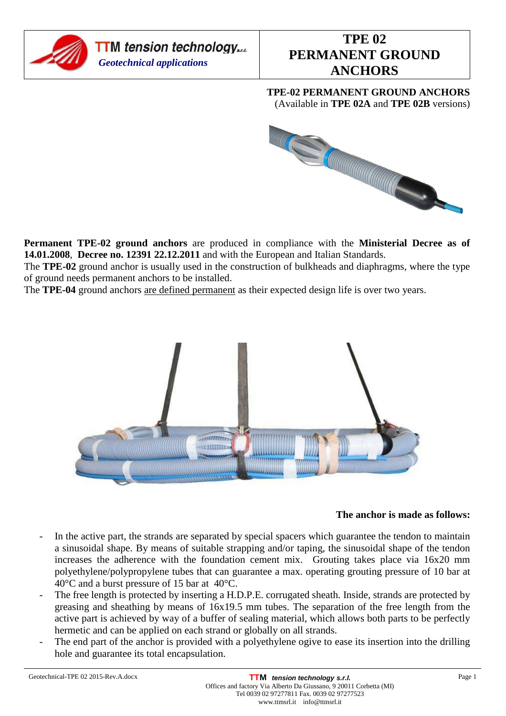

**TPE-02 PERMANENT GROUND ANCHORS**  (Available in **TPE 02A** and **TPE 02B** versions)



**Permanent TPE-02 ground anchors** are produced in compliance with the **Ministerial Decree as of 14.01.2008**, **Decree no. 12391 22.12.2011** and with the European and Italian Standards.

The **TPE-02** ground anchor is usually used in the construction of bulkheads and diaphragms, where the type of ground needs permanent anchors to be installed.

The **TPE-04** ground anchors are defined permanent as their expected design life is over two years.



#### **The anchor is made as follows:**

- In the active part, the strands are separated by special spacers which guarantee the tendon to maintain a sinusoidal shape. By means of suitable strapping and/or taping, the sinusoidal shape of the tendon increases the adherence with the foundation cement mix. Grouting takes place via 16x20 mm polyethylene/polypropylene tubes that can guarantee a max. operating grouting pressure of 10 bar at 40°C and a burst pressure of 15 bar at 40°C.
- The free length is protected by inserting a H.D.P.E. corrugated sheath. Inside, strands are protected by greasing and sheathing by means of 16x19.5 mm tubes. The separation of the free length from the active part is achieved by way of a buffer of sealing material, which allows both parts to be perfectly hermetic and can be applied on each strand or globally on all strands.
- The end part of the anchor is provided with a polyethylene ogive to ease its insertion into the drilling hole and guarantee its total encapsulation.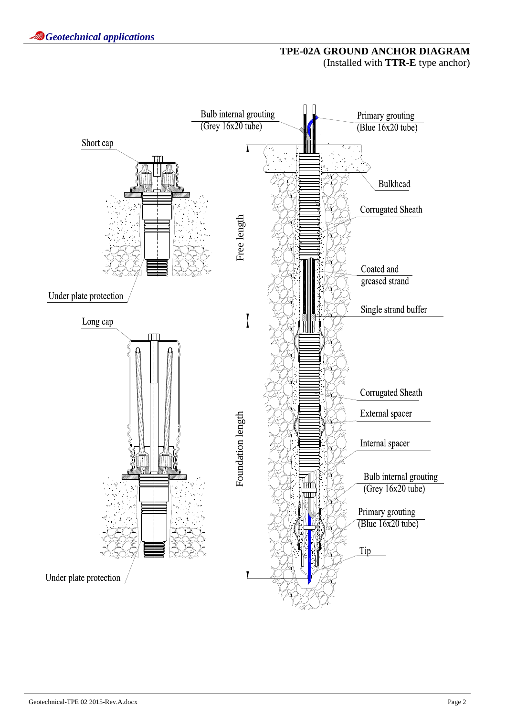## **TPE-02A GROUND ANCHOR DIAGRAM**  (Installed with **TTR-E** type anchor)

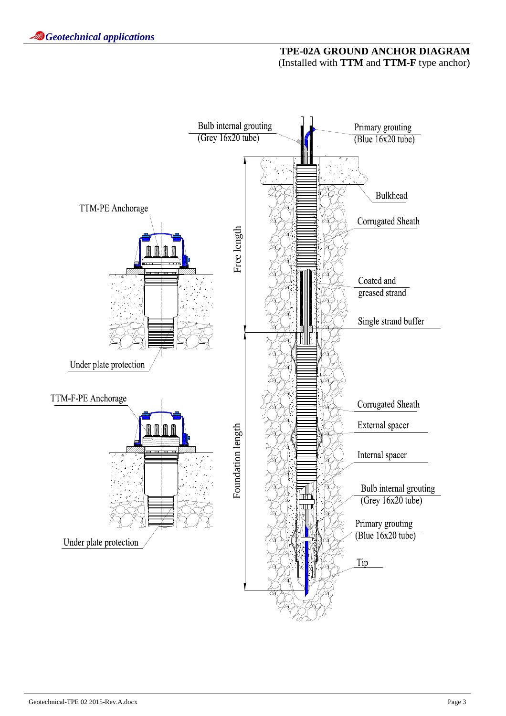## **TPE-02A GROUND ANCHOR DIAGRAM**  (Installed with **TTM** and **TTM-F** type anchor)

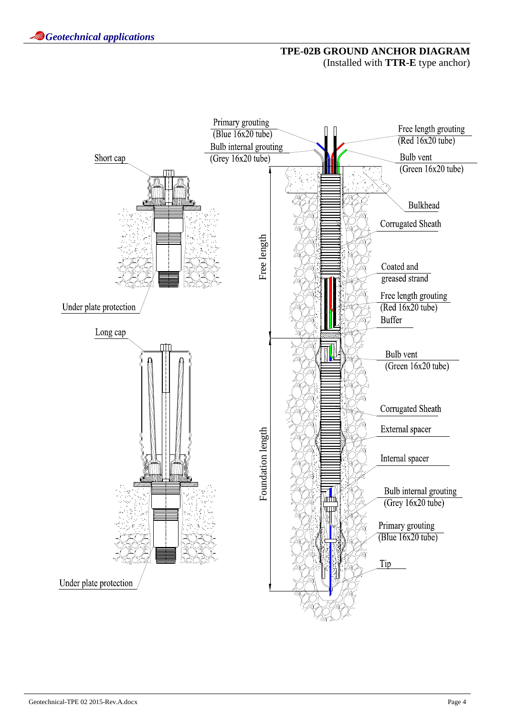# **TPE-02B GROUND ANCHOR DIAGRAM**  (Installed with **TTR-E** type anchor)